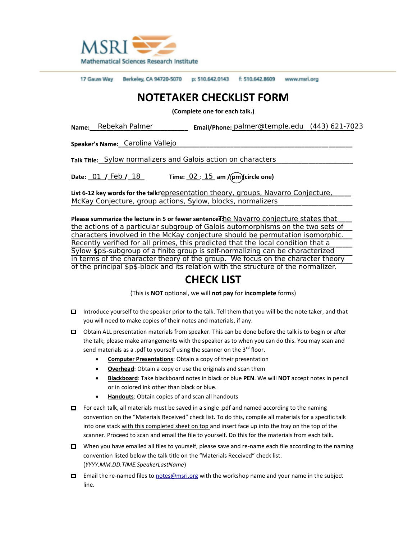

17 Gauss Way Berkeley, CA 94720-5070 p: 510.642.0143 f: 510.642.8609 www.msri.org

## **NOTETAKER CHECKLIST FORM**

**(Complete one for each talk.)**

Name:\_\_\_Rebekah Palmer \_\_\_\_\_\_\_\_\_\_\_\_\_\_\_\_\_\_ Email/Phone: <u>palmer@temple.edu (443)621-70</u>23

**Speaker's Name:\_\_\_\_\_\_\_\_\_\_\_\_\_\_\_\_\_\_\_\_\_\_\_\_\_\_\_\_\_\_\_\_\_\_\_\_\_\_\_\_\_\_\_\_\_\_\_\_\_\_\_\_\_\_\_\_\_\_\_\_\_\_\_\_\_\_\_\_\_** Carolina Vallejo

**Talk Title:\_ Sylow normalizers and Galois action on characters \_\_\_\_\_\_\_\_\_\_\_\_\_\_\_\_\_** 

**Date: \_\_\_\_\_/\_\_\_\_\_/\_\_\_\_\_ Time: \_\_\_\_:\_\_\_\_ am / pm (circle one)** 02 15 Date:  $01 /$  Feb  $/ 18$ 

**List 612 key words for the talk: \_\_\_\_\_\_\_\_\_\_\_\_\_\_\_\_\_\_\_\_\_\_\_\_\_\_\_\_\_\_\_\_\_\_\_\_\_\_\_\_\_\_\_\_\_\_\_\_\_\_\_\_\_\_\_\_** representation theory, groups, Navarro Conjecture, McKay Conjecture, group actions, Sylow, blocks, normalizers \_\_\_\_\_\_\_\_\_\_\_\_\_\_\_\_\_\_\_\_

**Please summarize the lecture in 5 or fewer sentences: he Navarro conjecture states that \_\_\_\_\_\_\_\_\_\_\_\_\_\_\_\_\_\_\_\_\_\_\_\_\_\_\_\_\_** <u>the actions of a particular subgroup of Galois automorphisms on the two sets of </u> **\_\_\_\_\_\_\_\_\_\_\_\_\_\_\_\_\_\_\_\_\_\_\_\_\_\_\_\_\_\_\_\_\_\_\_\_\_\_\_\_\_\_\_\_\_\_\_\_\_\_\_\_\_\_\_\_\_\_\_\_\_\_\_\_\_\_\_\_\_\_\_\_\_\_\_\_\_\_\_\_\_\_\_** characters involved in the McKay conjecture should be permutation isomorphic. Recently verified for all primes, this predicted that the local condition that a Sylow \$p\$-subgroup of a finite group is self-normalizing can be characterized in terms of the character theory of the group. We focus on the character theory of the principal \$p\$-block and its relation with the structure of the normalizer.

## **CHECK LIST**

(This is **NOT** optional, we will **not pay** for **incomplete** forms)

- □ Introduce yourself to the speaker prior to the talk. Tell them that you will be the note taker, and that you will need to make copies of their notes and materials, if any.
- □ Obtain ALL presentation materials from speaker. This can be done before the talk is to begin or after the talk; please make arrangements with the speaker as to when you can do this. You may scan and send materials as a .pdf to yourself using the scanner on the  $3^{rd}$  floor.
	- **Computer Presentations**: Obtain a copy of their presentation
	- **Overhead**: Obtain a copy or use the originals and scan them
	- **Blackboard**: Take blackboard notes in black or blue **PEN**. We will **NOT** accept notes in pencil or in colored ink other than black or blue.
	- **Handouts**: Obtain copies of and scan all handouts
- □ For each talk, all materials must be saved in a single .pdf and named according to the naming convention on the "Materials Received" check list. To do this, compile all materials for a specific talk into one stack with this completed sheet on top and insert face up into the tray on the top of the scanner. Proceed to scan and email the file to yourself. Do this for the materials from each talk.
- $\Box$  When you have emailed all files to yourself, please save and re-name each file according to the naming convention listed below the talk title on the "Materials Received" check list. (*YYYY.MM.DD.TIME.SpeakerLastName*)
- □ Email the re-named files to notes@msri.org with the workshop name and your name in the subject line.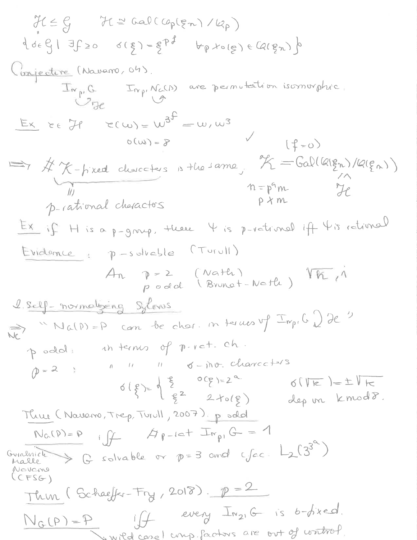$H \leq \mathcal{G}$   $H \cong \text{Gal}(\text{Cop}(\mathfrak{p}_n)/\mathcal{Q}_p)$  $\{d_{f} \in \mathcal{C}_1 | \exists f \geq 0 \quad d(g) = g^{pf} \quad b_p f \circ (g) \in Q(g_n) \}$ Conjecture (Navarro, 04). Inp.G Inp.NaCD) are permutection isomorphic.  $Ex$   $ee$   $H$   $c(w) = w^{3} = w, w^{3}$  $(f=0)$ A K-tixed characters is the same, K=Galllalgn)/lalgn))<br>
11 n=pm<br>
p-rational characters<br>
p-rational characters<br>
p x m Ex if H is a p-group, there 4 is p-vatimal if 4 is rational Evidence, p-solvable (Turull) An p=2 (Nath) Vh, 1 1 Self-normalizing sylows  $\Rightarrow$  "Na(P)=P can be char. in terms up  $\text{Tr}_{p_1} G \bigcup e^{y}$ poold! in terms of p.v.et. ch.  $Q=2$  1 1 1  $\sigma$ -ino-charceters  $618)=\begin{pmatrix}8&0(8)=2^{\alpha}\\ 8&2+o(8)\end{pmatrix}$  $6(\sqrt{k})=\pm\sqrt{k}$ dep un kmodo. Three (Naveno, Trep, Turull, 2007) podd  $N_G(P)=P$  iff  $A_{P-1}$   $\subset F_{P}$   $G = 1$ Guidenich  $\Rightarrow$  G solvable or  $p=3$  and cface  $L_2(3^{3^{\alpha}})$ Novemo  $CFSG$  $\frac{1}{1000} (Schae f/r-Fry, 2018). p=2$  $N_G(P) = P$  iff every  $I_{n_2, G}$  is b-fixed. swild case I ump. Factors are out of writing?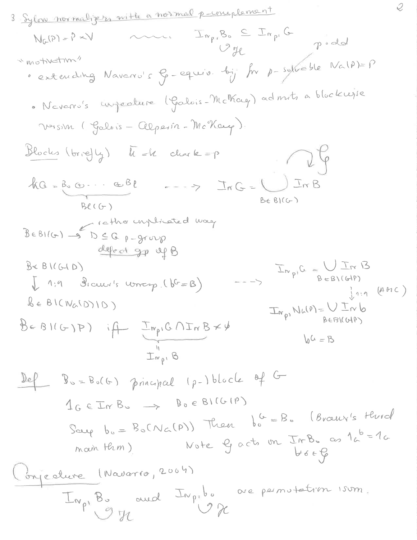3 
$$
Signomramality in the normal parameter
$$
  
\n $N_{G}(P)=P+V$  ......  $\frac{T_{np}B_{0} \leq T_{np}G}{U_{p}}$   
\n $N_{G}(P)=P+V$  ......  $\frac{T_{np}B_{0} \leq T_{np}G}{U_{p}}$   
\n $N_{G}(P)=P+V$  ......  $\frac{T_{np}B_{0} \leq T_{np}G}{U_{p}}$   
\n $N_{G}(P)=P+V$  ......  $\frac{T_{np}B_{0} \leq T_{np}G}{U_{0}}$   
\n $N_{G}(P)=P$   
\n6  $Q_{0}$  maxima (Galsis =  $QQ_{0}$ min =  $W_{0}$ Now)  
\n $N_{0}$  min (Galsis =  $QQ_{0}$ min =  $W_{0}$ Now)  
\n $N_{0}$  min (Galsis =  $QQ_{0}$ min =  $W_{0}$ Now)  
\n $N_{0}$  min (Galsis =  $QQ_{0}$ min =  $W_{0}$  in the interval  
\n $QQ$  with the number of  $QQ$  with the number of  $QQ$  with the number of  $QQ$  with the number of  $QQ$  with the number of  $QQ$  with the number of  $QQ$  with the number of  $QQ$  with the number of  $QQ$  with the number of  $Q$  with the number of  $Q$  with the number of  $Q$  with the number of  $Q$  with the number of  $Q$  with the number of  $Q$  with the number of  $Q$  with the number of  $Q$  with the number of  $Q$  with the number of  $Q$  with the number of  $Q$  with the number of  $Q$  with the number of  $Q$  with the number of  $Q$  with the number of  $Q$  with the number of  $Q$  with the number of  $Q$  with the number of  $Q$  with the number of  $Q$  with the number of  $Q$  with the number of  $Q$  with the number of  $Q$  with the number of  $Q$  with the number of  $Q$  with the number of  $Q$  with the number of  $Q$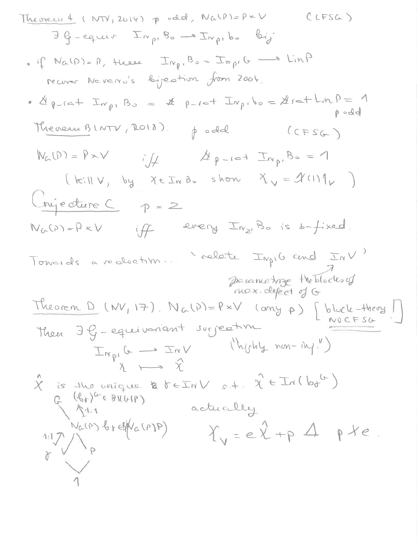| Lemma 4 (NN, 2014) $p$ odd, $Na(0)=p+V$ | Cirsa                                                             |                                              |                |
|-----------------------------------------|-------------------------------------------------------------------|----------------------------------------------|----------------|
| 30 - equair                             | $\text{Inv}_{p1}B_{0} \rightarrow \text{Inv}_{p1}b_{0}$           | $\text{Div}_{p2}$                            |                |
| • if $Na(D)=0$ , $\text{Huase}$         | $\text{Inv}_{p1}B_{0} = \text{Inv}_{p1}G \rightarrow \text{LinP}$ |                                              |                |
| • d $p$ -cat                            | $\text{Inv}_{p1}B_{0} = x + p$ -cot                               | $\text{Inv}_{p1}B_{0} = \text{Araf-LmP} = 1$ |                |
| 10                                      | 10                                                                | $\text{NeuO}$                                | $\text{Cersc}$ |
| 11                                      | $\text{NeuO}$                                                     | $\text{NeuO}$                                |                |
| 12                                      | $\text{NeuO}$                                                     | $\text{NeuO}$                                |                |
| 13                                      | $\text{NeuO}$                                                     | $\text{NeuO}$                                |                |
| 14                                      | $\text{NeuO}$                                                     | $\text{NeuO}$                                |                |
| 15                                      | $\text{NeuO}$                                                     | $\text{NeuO}$                                |                |
| 16                                      | $\text{NeuO}$                                                     | $\text{NeuO}$                                |                |
| 17                                      | $\text{NeuO}$                                                     | $\text{NeuO}$                                |                |
| 18                                      | $\text{NeuO}$                                                     | $\text{NeuO}$                                |                |
| 19                                      | $\text{NeuO}$                                                     | $\text{NeuO}$                                |                |
| 10                                      | $\text{NeuO}$                                                     |                                              |                |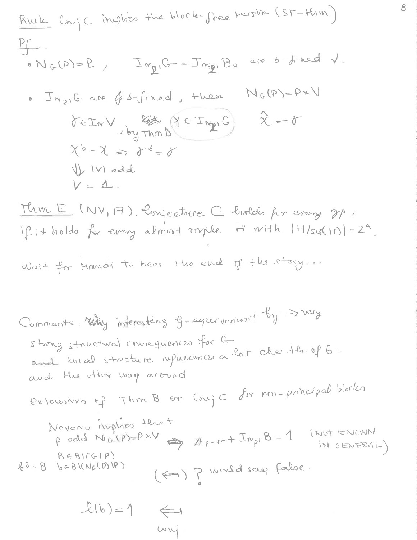| Rule | \n $ln_{1}C$ implies $ln_{1}bck = \frac{1}{2}ne^{2}$ \n | \n $ln_{1}C$ \n         | \n $ln_{1}D_{1} = 2$ \n | \n $Im_{2}C = \frac{1}{2}ne^{2}$ \n | \n $ln_{1}D_{1} = 2$ \n |
|------|---------------------------------------------------------|-------------------------|-------------------------|-------------------------------------|-------------------------|
| 1    | \n $ln_{1}D_{1} = 2$ \n                                 | \n $ln_{1}D_{1} = 2$ \n |                         |                                     |                         |
| 2    | \n $ln_{1}D_{1} = 2$ \n                                 | \n $ln_{1}D_{1} = 2$ \n |                         |                                     |                         |
| 3    | \n $ln_{1}D_{1} = 2$ \n                                 |                         |                         |                                     |                         |
| 4    | \n $ln_{1}D_{1} = 1$ \n                                 |                         |                         |                                     |                         |
| 5    | \n $ln_{1}D_{1} = 1$ \n                                 |                         |                         |                                     |                         |
| 6    | \n $ln_{1}D_{1} = 1$ \n                                 |                         |                         |                                     |                         |
| 7    | \n $ln_{1}D_{1} = 1$ \n                                 |                         |                         |                                     |                         |
| 8    | \n $ln_{1}D_{1} = 1$ \n                                 |                         |                         |                                     |                         |
| 9    | \n $ln_{1}D_{1} = 1$ \n                                 |                         |                         |                                     |                         |
| 10   | \n $ln_{1}D_{1} = 1$ \n                                 |                         |                         |                                     |                         |
| 11   | \n $ln_{1}D_{1} = 1$ \n                                 |                         |                         |                                     |                         |
| 12   | \n $ln_{1}D_{1} = 1$ \n                                 |                         |                         |                                     |                         |
| 13   | \n $ln_{1}D_{1} = 1$ \n                                 |                         |                         |                                     |                         |
| 14   | \n $ln_{1}D_{1} = 1$ \n                                 |                         |                         |                                     |                         |
|      |                                                         |                         |                         |                                     |                         |

conj

 $\delta$